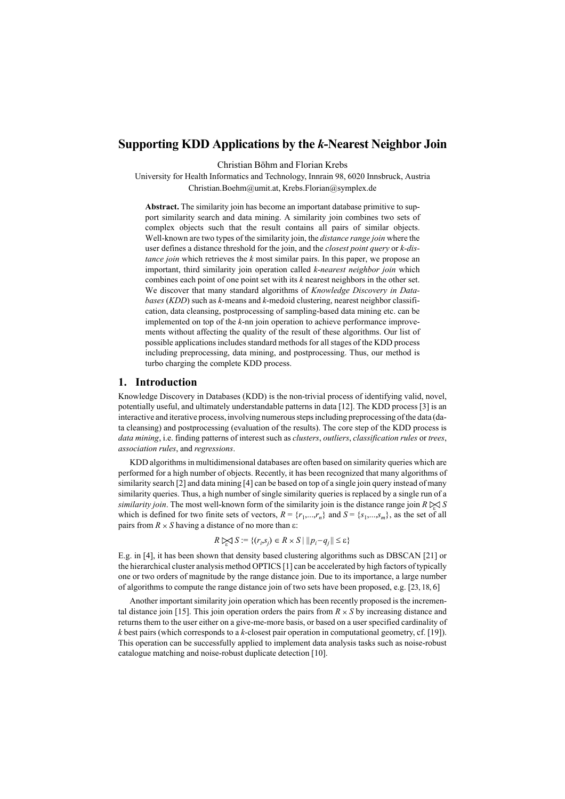# **Supporting KDD Applications by the** *k***-Nearest Neighbor Join**

Christian Böhm and Florian Krebs

University for Health Informatics and Technology, Innrain 98, 6020 Innsbruck, Austria Christian.Boehm@umit.at, Krebs.Florian@symplex.de

**Abstract.** The similarity join has become an important database primitive to support similarity search and data mining. A similarity join combines two sets of complex objects such that the result contains all pairs of similar objects. Well-known are two types of the similarity join, the *distance range join* where the user defines a distance threshold for the join, and the *closest point query* or *k-distance join* which retrieves the *k* most similar pairs. In this paper, we propose an important, third similarity join operation called *k*-*nearest neighbor join* which combines each point of one point set with its *k* nearest neighbors in the other set. We discover that many standard algorithms of *Knowledge Discovery in Databases* (*KDD*) such as *k*-means and *k*-medoid clustering, nearest neighbor classification, data cleansing, postprocessing of sampling-based data mining etc. can be implemented on top of the *k*-nn join operation to achieve performance improvements without affecting the quality of the result of these algorithms. Our list of possible applications includes standard methods for all stages of the KDD process including preprocessing, data mining, and postprocessing. Thus, our method is turbo charging the complete KDD process.

#### **1. Introduction**

Knowledge Discovery in Databases (KDD) is the non-trivial process of identifying valid, novel, potentially useful, and ultimately understandable patterns in data [12]. The KDD process [3] is an interactive and iterative process, involving numerous steps including preprocessing of the data (data cleansing) and postprocessing (evaluation of the results). The core step of the KDD process is *data mining*, i.e. finding patterns of interest such as *clusters*, *outliers*, *classification rules* or *trees*, *association rules*, and *regressions*.

KDD algorithms in multidimensional databases are often based on similarity queries which are performed for a high number of objects. Recently, it has been recognized that many algorithms of similarity search [2] and data mining [4] can be based on top of a single join query instead of many similarity queries. Thus, a high number of single similarity queries is replaced by a single run of a *similarity join*. The most well-known form of the similarity join is the distance range join *R*  $\approx$  *S* which is defined for two finite sets of vectors,  $R = \{r_1, ..., r_n\}$  and  $S = \{s_1, ..., s_m\}$ , as the set of all pairs from  $R \times S$  having a distance of no more than  $\varepsilon$ :

$$
R \trianglerighteq S := \{ (r_i, s_j) \in R \times S \mid ||p_i - q_j|| \le \varepsilon \}
$$

E.g. in [4], it has been shown that density based clustering algorithms such as DBSCAN [21] or the hierarchical cluster analysis method OPTICS [1] can be accelerated by high factors of typically one or two orders of magnitude by the range distance join. Due to its importance, a large number of algorithms to compute the range distance join of two sets have been proposed, e.g. [23, 18, 6]

Another important similarity join operation which has been recently proposed is the incremental distance join [15]. This join operation orders the pairs from  $R \times S$  by increasing distance and returns them to the user either on a give-me-more basis, or based on a user specified cardinality of *k* best pairs (which corresponds to a *k*-closest pair operation in computational geometry, cf. [19]). This operation can be successfully applied to implement data analysis tasks such as noise-robust catalogue matching and noise-robust duplicate detection [10].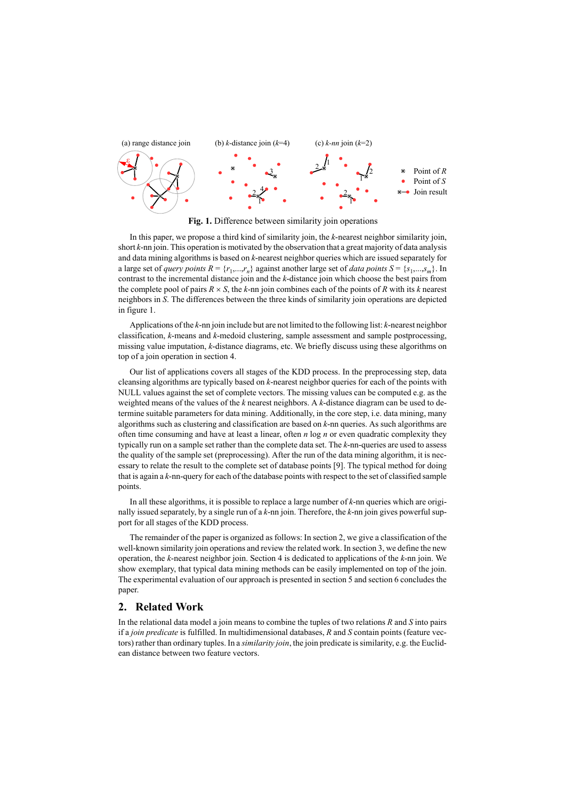

**Fig. 1.** Difference between similarity join operations

In this paper, we propose a third kind of similarity join, the *k*-nearest neighbor similarity join, short *k*-nn join. This operation is motivated by the observation that a great majority of data analysis and data mining algorithms is based on *k*-nearest neighbor queries which are issued separately for a large set of *query points*  $R = \{r_1, \ldots, r_n\}$  against another large set of *data points*  $S = \{s_1, \ldots, s_m\}$ . In contrast to the incremental distance join and the *k*-distance join which choose the best pairs from the complete pool of pairs  $R \times S$ , the *k*-nn join combines each of the points of *R* with its *k* nearest neighbors in *S*. The differences between the three kinds of similarity join operations are depicted in figure 1.

Applications of the *k*-nn join include but are not limited to the following list: *k*-nearest neighbor classification, *k*-means and *k*-medoid clustering, sample assessment and sample postprocessing, missing value imputation, *k*-distance diagrams, etc. We briefly discuss using these algorithms on top of a join operation in section 4.

Our list of applications covers all stages of the KDD process. In the preprocessing step, data cleansing algorithms are typically based on *k*-nearest neighbor queries for each of the points with NULL values against the set of complete vectors. The missing values can be computed e.g. as the weighted means of the values of the *k* nearest neighbors. A *k*-distance diagram can be used to determine suitable parameters for data mining. Additionally, in the core step, i.e. data mining, many algorithms such as clustering and classification are based on *k*-nn queries. As such algorithms are often time consuming and have at least a linear, often *n* log *n* or even quadratic complexity they typically run on a sample set rather than the complete data set. The *k*-nn-queries are used to assess the quality of the sample set (preprocessing). After the run of the data mining algorithm, it is necessary to relate the result to the complete set of database points [9]. The typical method for doing that is again a *k*-nn-query for each of the database points with respect to the set of classified sample points.

In all these algorithms, it is possible to replace a large number of *k*-nn queries which are originally issued separately, by a single run of a *k*-nn join. Therefore, the *k*-nn join gives powerful support for all stages of the KDD process.

The remainder of the paper is organized as follows: In section 2, we give a classification of the well-known similarity join operations and review the related work. In section 3, we define the new operation, the *k*-nearest neighbor join. Section 4 is dedicated to applications of the *k*-nn join. We show exemplary, that typical data mining methods can be easily implemented on top of the join. The experimental evaluation of our approach is presented in section 5 and section 6 concludes the paper.

### **2. Related Work**

In the relational data model a join means to combine the tuples of two relations *R* and *S* into pairs if a *join predicate* is fulfilled. In multidimensional databases, *R* and *S* contain points (feature vectors) rather than ordinary tuples. In a *similarity join*, the join predicate is similarity, e.g. the Euclidean distance between two feature vectors.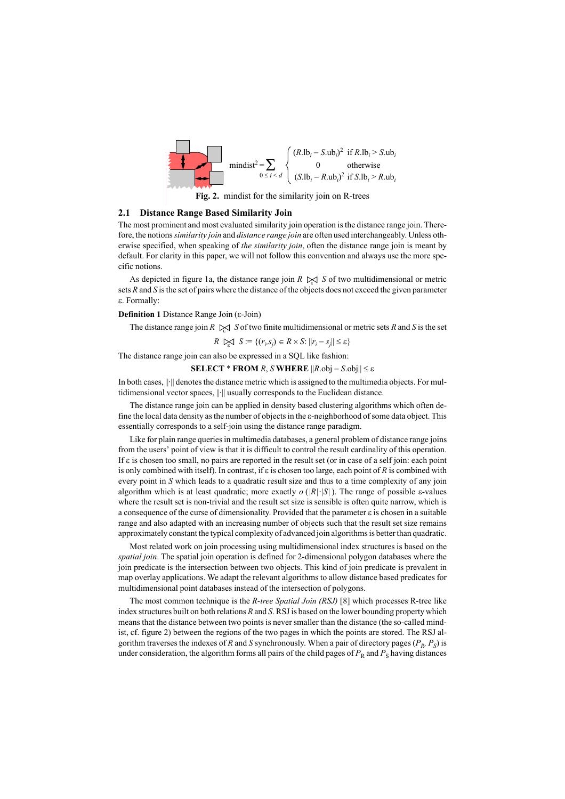

**Fig. 2.** mindist for the similarity join on R-trees

#### **2.1 Distance Range Based Similarity Join**

The most prominent and most evaluated similarity join operation is the distance range join. Therefore, the notions *similarity join* and *distance range join* are often used interchangeably. Unless otherwise specified, when speaking of *the similarity join*, often the distance range join is meant by default. For clarity in this paper, we will not follow this convention and always use the more specific notions.

As depicted in figure 1a, the distance range join  $R \geq 1$  *S* of two multidimensional or metric sets *R* and *S* is the set of pairs where the distance of the objects does not exceed the given parameter ε. Formally:

**Definition 1** Distance Range Join (ε-Join)

The distance range join  $R \geq S$  of two finite multidimensional or metric sets  $R$  and  $S$  is the set

$$
R \; \trianglerighteq \; S := \{ (r_i, s_j) \in R \times S : ||r_i - s_j|| \le \varepsilon \}
$$

The distance range join can also be expressed in a SQL like fashion:

**SELECT** \* **FROM** *R*, *S* **WHERE** ||*R*.obj − *S*.obj|| ≤ ε

In both cases,  $\|\cdot\|$  denotes the distance metric which is assigned to the multimedia objects. For multidimensional vector spaces,  $\|\cdot\|$  usually corresponds to the Euclidean distance.

The distance range join can be applied in density based clustering algorithms which often define the local data density as the number of objects in the  $\varepsilon$ -neighborhood of some data object. This essentially corresponds to a self-join using the distance range paradigm.

Like for plain range queries in multimedia databases, a general problem of distance range joins from the users' point of view is that it is difficult to control the result cardinality of this operation. If ε is chosen too small, no pairs are reported in the result set (or in case of a self join: each point is only combined with itself). In contrast, if ε is chosen too large, each point of *R* is combined with every point in *S* which leads to a quadratic result size and thus to a time complexity of any join algorithm which is at least quadratic; more exactly *o* (|*R*|·|*S*| ). The range of possible ε-values where the result set is non-trivial and the result set size is sensible is often quite narrow, which is a consequence of the curse of dimensionality. Provided that the parameter ε is chosen in a suitable range and also adapted with an increasing number of objects such that the result set size remains approximately constant the typical complexity of advanced join algorithms is better than quadratic.

Most related work on join processing using multidimensional index structures is based on the *spatial join*. The spatial join operation is defined for 2-dimensional polygon databases where the join predicate is the intersection between two objects. This kind of join predicate is prevalent in map overlay applications. We adapt the relevant algorithms to allow distance based predicates for multidimensional point databases instead of the intersection of polygons.

The most common technique is the *R-tree Spatial Join (RSJ)* [8] which processes R-tree like index structures built on both relations *R* and *S*. RSJ is based on the lower bounding property which means that the distance between two points is never smaller than the distance (the so-called mindist, cf. figure 2) between the regions of the two pages in which the points are stored. The RSJ algorithm traverses the indexes of *R* and *S* synchronously. When a pair of directory pages ( $P_R$ ,  $P_S$ ) is under consideration, the algorithm forms all pairs of the child pages of  $P_R$  and  $P_S$  having distances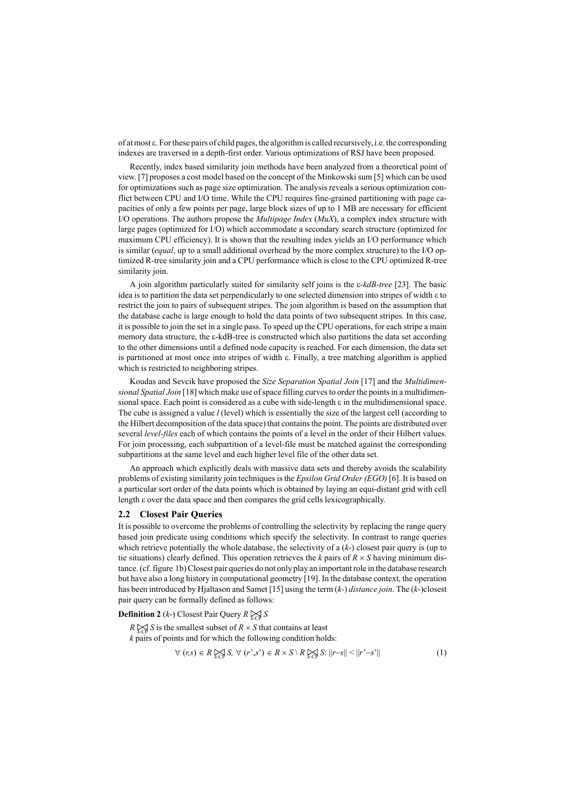of at most ε. For these pairs of child pages, the algorithm is called recursively, i.e. the corresponding indexes are traversed in a depth-first order. Various optimizations of RSJ have been proposed.

Recently, index based similarity join methods have been analyzed from a theoretical point of view. [7] proposes a cost model based on the concept of the Minkowski sum [5] which can be used for optimizations such as page size optimization. The analysis reveals a serious optimization conflict between CPU and I/O time. While the CPU requires fine-grained partitioning with page capacities of only a few points per page, large block sizes of up to 1 MB are necessary for efficient I/O operations. The authors propose the *Multipage Index* (*MuX*), a complex index structure with large pages (optimized for I/O) which accommodate a secondary search structure (optimized for maximum CPU efficiency). It is shown that the resulting index yields an I/O performance which is similar (*equal*, up to a small additional overhead by the more complex structure) to the I/O optimized R-tree similarity join and a CPU performance which is close to the CPU optimized R-tree similarity join.

A join algorithm particularly suited for similarity self joins is the ε*-kdB-tree* [23]. The basic idea is to partition the data set perpendicularly to one selected dimension into stripes of width ε to restrict the join to pairs of subsequent stripes. The join algorithm is based on the assumption that the database cache is large enough to hold the data points of two subsequent stripes. In this case, it is possible to join the set in a single pass. To speed up the CPU operations, for each stripe a main memory data structure, the ε-kdB-tree is constructed which also partitions the data set according to the other dimensions until a defined node capacity is reached. For each dimension, the data set is partitioned at most once into stripes of width ε. Finally, a tree matching algorithm is applied which is restricted to neighboring stripes.

Koudas and Sevcik have proposed the *Size Separation Spatial Join* [17] and the *Multidimensional Spatial Join* [18] which make use of space filling curves to order the points in a multidimensional space. Each point is considered as a cube with side-length  $\varepsilon$  in the multidimensional space. The cube is assigned a value *l* (level) which is essentially the size of the largest cell (according to the Hilbert decomposition of the data space) that contains the point. The points are distributed over several *level-files* each of which contains the points of a level in the order of their Hilbert values. For join processing, each subpartition of a level-file must be matched against the corresponding subpartitions at the same level and each higher level file of the other data set.

An approach which explicitly deals with massive data sets and thereby avoids the scalability problems of existing similarity join techniques is the *Epsilon Grid Order (EGO)* [6]. It is based on a particular sort order of the data points which is obtained by laying an equi-distant grid with cell length ε over the data space and then compares the grid cells lexicographically.

#### **2.2 Closest Pair Queries**

It is possible to overcome the problems of controlling the selectivity by replacing the range query based join predicate using conditions which specify the selectivity. In contrast to range queries which retrieve potentially the whole database, the selectivity of a (*k*-) closest pair query is (up to tie situations) clearly defined. This operation retrieves the *k* pairs of  $R \times S$  having minimum distance. (cf. figure 1b) Closest pair queries do not only play an important role in the database research but have also a long history in computational geometry [19]. In the database context, the operation has been introduced by Hjaltason and Samet [15] using the term (*k-*) *distance join*. The (*k*-)closest pair query can be formally defined as follows:

### **Definition 2** (*k*-) Closest Pair Query *R*  $\underset{k \in \mathbb{N}}{\sim} S$

 $R \gtrsim S$  is the smallest subset of  $R \times S$  that contains at least

*k* pairs of points and for which the following condition holds:

$$
\forall (r,s) \in R \bigtimes_{k \in \mathbb{N}} S, \forall (r^{\prime},s^{\prime}) \in R \times S \setminus R \bigtimes_{k \in \mathbb{N}} S: ||r-s|| < ||r^{\prime}-s^{\prime}|| \tag{1}
$$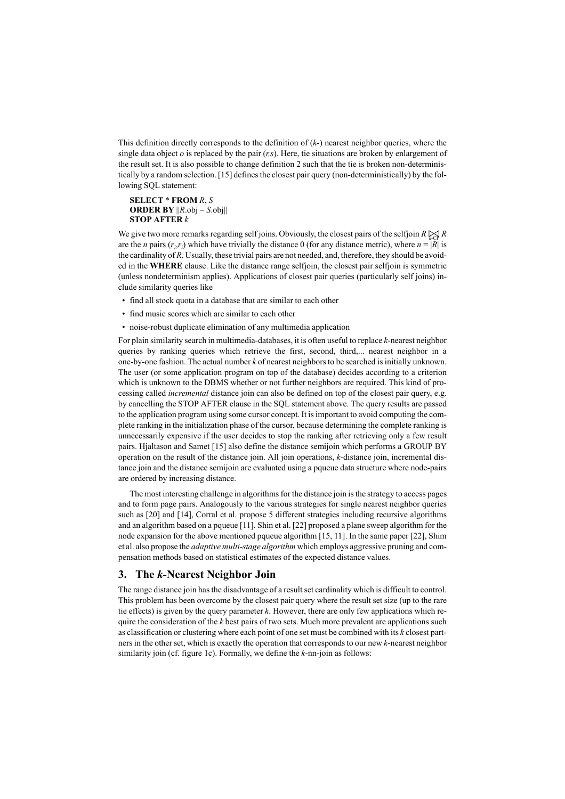This definition directly corresponds to the definition of (*k*-) nearest neighbor queries, where the single data object *o* is replaced by the pair (*r,s*). Here, tie situations are broken by enlargement of the result set. It is also possible to change definition 2 such that the tie is broken non-deterministically by a random selection. [15] defines the closest pair query (non-deterministically) by the following SQL statement:

#### **SELECT** \* **FROM** *R*, *S* **ORDER BY** ||*R*.obj − *S*.obj|| **STOP AFTER** *k*

We give two more remarks regarding self joins. Obviously, the closest pairs of the selfjoin  $R \gtrsim R$ are the *n* pairs  $(r_i, r_i)$  which have trivially the distance 0 (for any distance metric), where  $n = |R|$  is the cardinality of *R*. Usually, these trivial pairs are not needed, and, therefore, they should be avoided in the **WHERE** clause. Like the distance range selfjoin, the closest pair selfjoin is symmetric (unless nondeterminism applies). Applications of closest pair queries (particularly self joins) include similarity queries like

- find all stock quota in a database that are similar to each other
- find music scores which are similar to each other
- noise-robust duplicate elimination of any multimedia application

For plain similarity search in multimedia-databases, it is often useful to replace *k*-nearest neighbor queries by ranking queries which retrieve the first, second, third,... nearest neighbor in a one-by-one fashion. The actual number *k* of nearest neighbors to be searched is initially unknown. The user (or some application program on top of the database) decides according to a criterion which is unknown to the DBMS whether or not further neighbors are required. This kind of processing called *incremental* distance join can also be defined on top of the closest pair query, e.g. by cancelling the STOP AFTER clause in the SQL statement above. The query results are passed to the application program using some cursor concept. It is important to avoid computing the complete ranking in the initialization phase of the cursor, because determining the complete ranking is unnecessarily expensive if the user decides to stop the ranking after retrieving only a few result pairs. Hjaltason and Samet [15] also define the distance semijoin which performs a GROUP BY operation on the result of the distance join. All join operations, *k*-distance join, incremental distance join and the distance semijoin are evaluated using a pqueue data structure where node-pairs are ordered by increasing distance.

The most interesting challenge in algorithms for the distance join is the strategy to access pages and to form page pairs. Analogously to the various strategies for single nearest neighbor queries such as [20] and [14], Corral et al. propose 5 different strategies including recursive algorithms and an algorithm based on a pqueue [11]. Shin et al. [22] proposed a plane sweep algorithm for the node expansion for the above mentioned pqueue algorithm [15, 11]. In the same paper [22], Shim et al. also propose the *adaptive multi-stage algorithm* which employs aggressive pruning and compensation methods based on statistical estimates of the expected distance values.

### **3. The** *k***-Nearest Neighbor Join**

The range distance join has the disadvantage of a result set cardinality which is difficult to control. This problem has been overcome by the closest pair query where the result set size (up to the rare tie effects) is given by the query parameter *k*. However, there are only few applications which require the consideration of the *k* best pairs of two sets. Much more prevalent are applications such as classification or clustering where each point of one set must be combined with its *k* closest partners in the other set, which is exactly the operation that corresponds to our new *k*-nearest neighbor similarity join (cf. figure 1c). Formally, we define the *k*-nn-join as follows: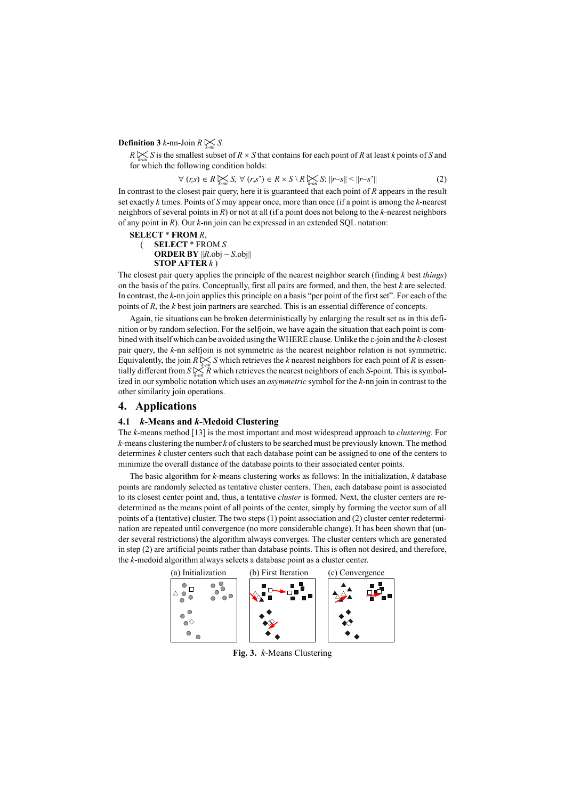## **Definition 3** *k*-nn-Join  $R \not\hspace{-1.2pt}\swarrow_{k\textit{-nn}} S$

 $R \underset{k \text{--} \text{mm}}{\times} S$  is the smallest subset of  $R \times S$  that contains for each point of  $R$  at least  $k$  points of  $S$  and for which the following condition holds:

$$
\forall (r,s) \in R \underset{k\text{-}nn}{\triangleright} S, \forall (r,s') \in R \times S \setminus R \underset{k\text{-}nn}{\triangleright} S: ||r-s|| < ||r-s'|| \tag{2}
$$

In contrast to the closest pair query, here it is guaranteed that each point of *R* appears in the result set exactly *k* times. Points of *S* may appear once, more than once (if a point is among the *k*-nearest neighbors of several points in *R*) or not at all (if a point does not belong to the *k-*nearest neighbors of any point in *R*). Our *k*-nn join can be expressed in an extended SQL notation:

**SELECT** \* **FROM** *R*,

( **SELECT** \* FROM *S* **ORDER BY** ||*R*.obj − *S*.obj|| **STOP AFTER** *k* )

The closest pair query applies the principle of the nearest neighbor search (finding *k* best *things*) on the basis of the pairs. Conceptually, first all pairs are formed, and then, the best *k* are selected. In contrast, the *k*-nn join applies this principle on a basis "per point of the first set". For each of the points of *R*, the *k* best join partners are searched. This is an essential difference of concepts.

Again, tie situations can be broken deterministically by enlarging the result set as in this definition or by random selection. For the selfjoin, we have again the situation that each point is combined with itself which can be avoided using the WHERE clause. Unlike the ε-join and the *k*-closest pair query, the *k*-nn selfjoin is not symmetric as the nearest neighbor relation is not symmetric. Equivalently, the join  $R \underset{k \text{--} m}{\times} S$  which retrieves the *k* nearest neighbors for each point of *R* is essentially different from  $S \underset{k\text{--}nn}{\times} R$  which retrieves the nearest neighbors of each *S*-point. This is symbolized in our symbolic notation which uses an *asymmetric* symbol for the *k*-nn join in contrast to the other similarity join operations.

### **4. Applications**

#### **4.1** *k***-Means and** *k***-Medoid Clustering**

The *k*-means method [13] is the most important and most widespread approach to *clustering.* For *k*-means clustering the number *k* of clusters to be searched must be previously known. The method determines *k* cluster centers such that each database point can be assigned to one of the centers to minimize the overall distance of the database points to their associated center points.

The basic algorithm for *k*-means clustering works as follows: In the initialization, *k* database points are randomly selected as tentative cluster centers. Then, each database point is associated to its closest center point and, thus, a tentative *cluster* is formed. Next, the cluster centers are redetermined as the means point of all points of the center, simply by forming the vector sum of all points of a (tentative) cluster. The two steps (1) point association and (2) cluster center redetermination are repeated until convergence (no more considerable change). It has been shown that (under several restrictions) the algorithm always converges. The cluster centers which are generated in step (2) are artificial points rather than database points. This is often not desired, and therefore, the *k*-medoid algorithm always selects a database point as a cluster center.



**Fig. 3.** *k*-Means Clustering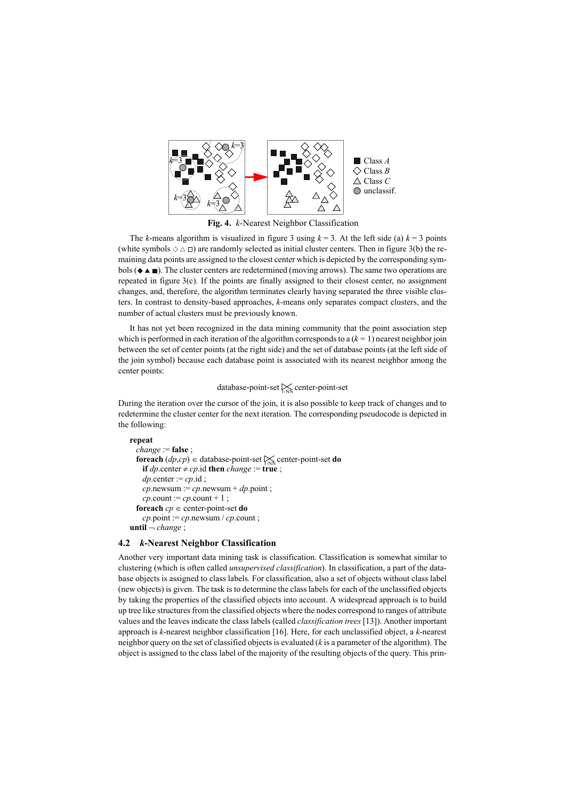

**Fig. 4.** *k*-Nearest Neighbor Classification

The *k*-means algorithm is visualized in figure 3 using  $k = 3$ . At the left side (a)  $k = 3$  points (white symbols  $\Diamond \triangle \Box$ ) are randomly selected as initial cluster centers. Then in figure 3(b) the remaining data points are assigned to the closest center which is depicted by the corresponding symbols ( $\blacklozenge$   $\blacktriangle$   $\blacksquare$ ). The cluster centers are redetermined (moving arrows). The same two operations are repeated in figure  $3(c)$ . If the points are finally assigned to their closest center, no assignment changes, and, therefore, the algorithm terminates clearly having separated the three visible clusters. In contrast to density-based approaches, *k*-means only separates compact clusters, and the number of actual clusters must be previously known.

It has not yet been recognized in the data mining community that the point association step which is performed in each iteration of the algorithm corresponds to a  $(k = 1)$  nearest neighbor join between the set of center points (at the right side) and the set of database points (at the left side of the join symbol) because each database point is associated with its nearest neighbor among the center points:

## database-point-set  $\sum_{NN}$  center-point-set

During the iteration over the cursor of the join, it is also possible to keep track of changes and to redetermine the cluster center for the next iteration. The corresponding pseudocode is depicted in the following:

```
repeat
 change := false ;
  foreach (dp, cp) \in database-point-set \bigtimes_{\text{NN}} center-point-set do
   if dp center \neq cp id then change := true ;
   dp.center := cp.id ;
   cp.newsum := cp.newsum + dp.point ;
   cp.count := cp.count + 1;
 foreach cp \in center-point-set do
    cp.point := cp.newsum / cp.count ;
until < change;
```
#### **4.2** *k***-Nearest Neighbor Classification**

Another very important data mining task is classification. Classification is somewhat similar to clustering (which is often called *unsupervised classification*). In classification, a part of the database objects is assigned to class labels*.* For classification, also a set of objects without class label (new objects) is given. The task is to determine the class labels for each of the unclassified objects by taking the properties of the classified objects into account. A widespread approach is to build up tree like structures from the classified objects where the nodes correspond to ranges of attribute values and the leaves indicate the class labels (called *classification trees* [13]). Another important approach is *k*-nearest neighbor classification [16]. Here, for each unclassified object, a *k*-nearest neighbor query on the set of classified objects is evaluated (*k* is a parameter of the algorithm). The object is assigned to the class label of the majority of the resulting objects of the query. This prin-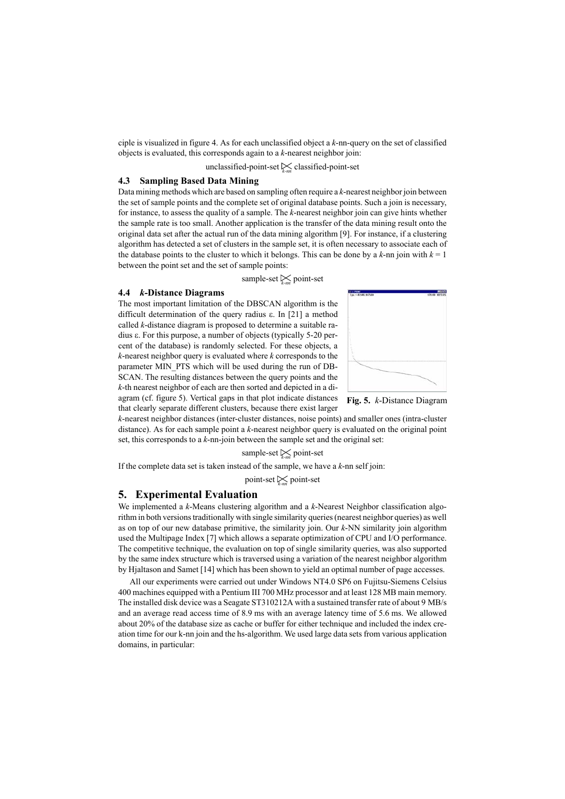ciple is visualized in figure 4. As for each unclassified object a *k*-nn-query on the set of classified objects is evaluated, this corresponds again to a *k*-nearest neighbor join:

unclassified-point-set  $\sum_{k\text{-}nn}$  classified-point-set

### **4.3 Sampling Based Data Mining**

Data mining methods which are based on sampling often require a *k*-nearest neighbor join between the set of sample points and the complete set of original database points. Such a join is necessary, for instance, to assess the quality of a sample. The *k*-nearest neighbor join can give hints whether the sample rate is too small. Another application is the transfer of the data mining result onto the original data set after the actual run of the data mining algorithm [9]. For instance, if a clustering algorithm has detected a set of clusters in the sample set, it is often necessary to associate each of the database points to the cluster to which it belongs. This can be done by a  $k$ -nn join with  $k = 1$ between the point set and the set of sample points:

sample-set  $\underset{k\text{-}nn}{\swarrow}$  point-set

#### **4.4** *k***-Distance Diagrams**

The most important limitation of the DBSCAN algorithm is the difficult determination of the query radius ε. In [21] a method called *k*-distance diagram is proposed to determine a suitable radius ε. For this purpose, a number of objects (typically 5-20 percent of the database) is randomly selected. For these objects, a *k*-nearest neighbor query is evaluated where *k* corresponds to the parameter MIN\_PTS which will be used during the run of DB-SCAN. The resulting distances between the query points and the *k*-th nearest neighbor of each are then sorted and depicted in a diagram (cf. figure 5). Vertical gaps in that plot indicate distances that clearly separate different clusters, because there exist larger



**Fig. 5.** *k*-Distance Diagram

*k*-nearest neighbor distances (inter-cluster distances, noise points) and smaller ones (intra-cluster distance). As for each sample point a *k*-nearest neighbor query is evaluated on the original point set, this corresponds to a *k*-nn-join between the sample set and the original set:

### sample-set  $\underset{k\text{-}nn}{\swarrow}$  point-set

If the complete data set is taken instead of the sample, we have a *k*-nn self join:

point-set  $\sum_{k\text{-}nn}$  point-set

#### **5. Experimental Evaluation**

We implemented a *k*-Means clustering algorithm and a *k*-Nearest Neighbor classification algorithm in both versions traditionally with single similarity queries (nearest neighbor queries) as well as on top of our new database primitive, the similarity join. Our *k*-NN similarity join algorithm used the Multipage Index [7] which allows a separate optimization of CPU and I/O performance. The competitive technique, the evaluation on top of single similarity queries, was also supported by the same index structure which is traversed using a variation of the nearest neighbor algorithm by Hjaltason and Samet [14] which has been shown to yield an optimal number of page accesses.

All our experiments were carried out under Windows NT4.0 SP6 on Fujitsu-Siemens Celsius 400 machines equipped with a Pentium III 700 MHz processor and at least 128 MB main memory. The installed disk device was a Seagate ST310212A with a sustained transfer rate of about 9 MB/s and an average read access time of 8.9 ms with an average latency time of 5.6 ms. We allowed about 20% of the database size as cache or buffer for either technique and included the index creation time for our k-nn join and the hs-algorithm. We used large data sets from various application domains, in particular: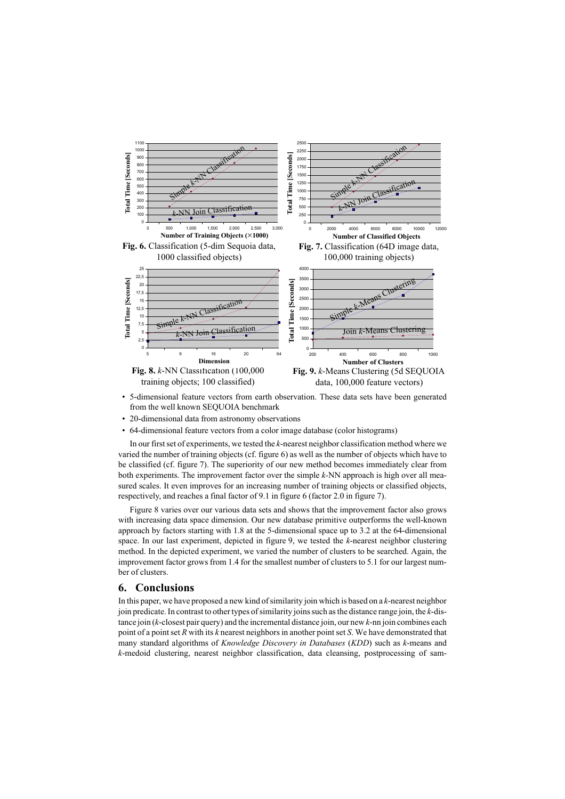

- 5-dimensional feature vectors from earth observation. These data sets have been generated from the well known SEQUOIA benchmark
- 20-dimensional data from astronomy observations
- 64-dimensional feature vectors from a color image database (color histograms)

In our first set of experiments, we tested the *k*-nearest neighbor classification method where we varied the number of training objects (cf. figure 6) as well as the number of objects which have to be classified (cf. figure 7). The superiority of our new method becomes immediately clear from both experiments. The improvement factor over the simple *k-*NN approach is high over all measured scales. It even improves for an increasing number of training objects or classified objects, respectively, and reaches a final factor of 9.1 in figure 6 (factor 2.0 in figure 7).

Figure 8 varies over our various data sets and shows that the improvement factor also grows with increasing data space dimension. Our new database primitive outperforms the well-known approach by factors starting with 1.8 at the 5-dimensional space up to 3.2 at the 64-dimensional space. In our last experiment, depicted in figure 9, we tested the *k*-nearest neighbor clustering method. In the depicted experiment, we varied the number of clusters to be searched. Again, the improvement factor grows from 1.4 for the smallest number of clusters to 5.1 for our largest number of clusters.

### **6. Conclusions**

In this paper, we have proposed a new kind of similarity join which is based on a *k*-nearest neighbor join predicate. In contrast to other types of similarity joins such as the distance range join, the *k*-distance join (*k*-closest pair query) and the incremental distance join, our new *k*-nn join combines each point of a point set *R* with its *k* nearest neighbors in another point set *S*. We have demonstrated that many standard algorithms of *Knowledge Discovery in Databases* (*KDD*) such as *k*-means and *k*-medoid clustering, nearest neighbor classification, data cleansing, postprocessing of sam-